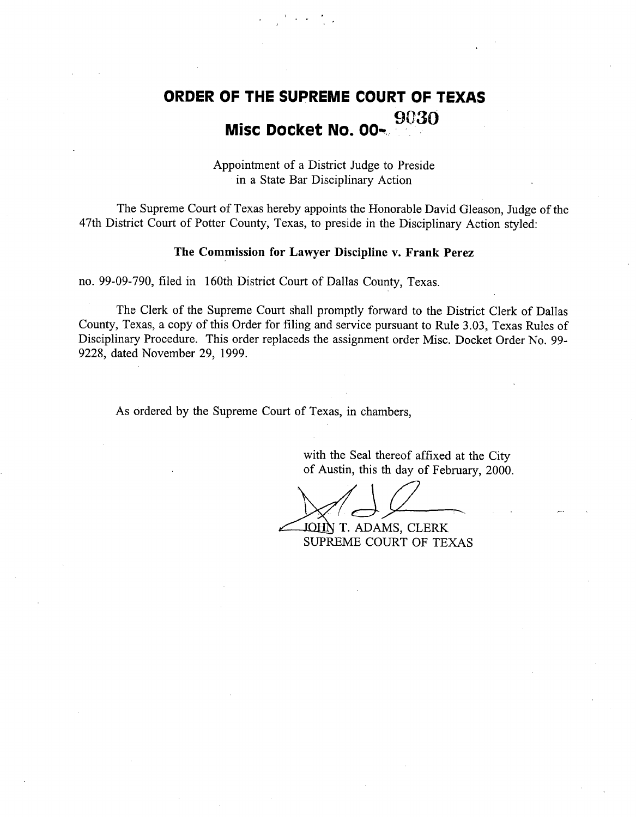# **ORDER OF THE SUPREME** COURT OF TEXAS 9030 Misc Docket No. 00

Appointment of a District Judge to Preside in a State Bar Disciplinary Action

The Supreme Court of Texas hereby appoints the Honorable David Gleason, Judge of the 47th District Court of Potter County, Texas, to preside in the Disciplinary Action styled:

### **The Commission** for Lawyer **Discipline v. Frank Perez**

no. 99-09-790, filed in 160th District Court of Dallas County, Texas.

The Clerk of the Supreme Court shall promptly forward to the District Clerk of Dallas County, Texas, a copy of this Order for filing and service pursuant to Rule 3.03, Texas Rules of Disciplinary Procedure. This order replaceds the assignment order Misc. Docket Order No. 99- 9228, dated November 29, 1999.

As ordered by the Supreme Court of Texas, in chambers,

with the Seal thereof affixed at the City of Austin, this th day of February, 2000.

JOHN T. ADAMS, CLERK SUPREME COURT OF TEXAS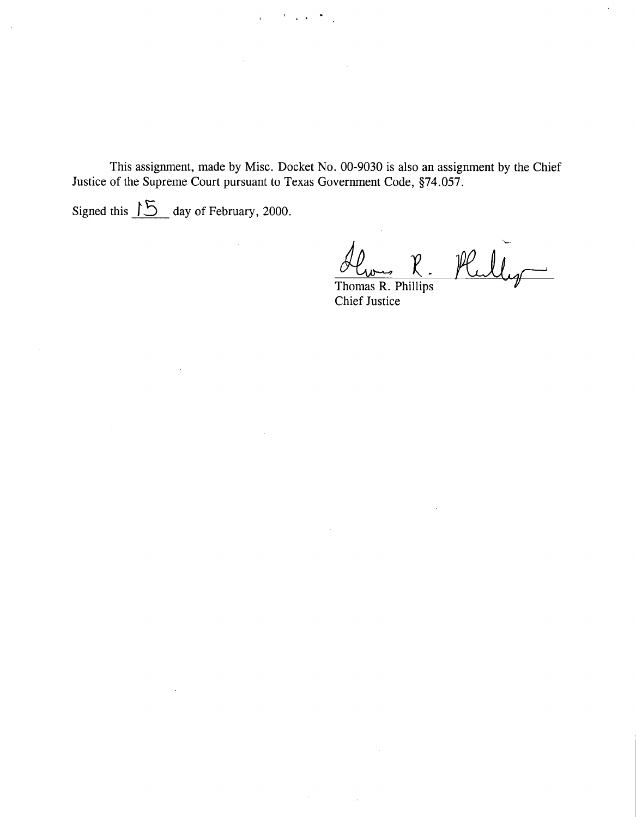This assignment, made by Misc. Docket No. 00-9030 is also an assignment by the Chief Justice of the Supreme Court pursuant to Texas Government Code, §74.057.

 $\sim 10$ 

Signed this  $\sqrt{5}$  day of February, 2000.

Y)

Thomas R. Phillips Chief Justice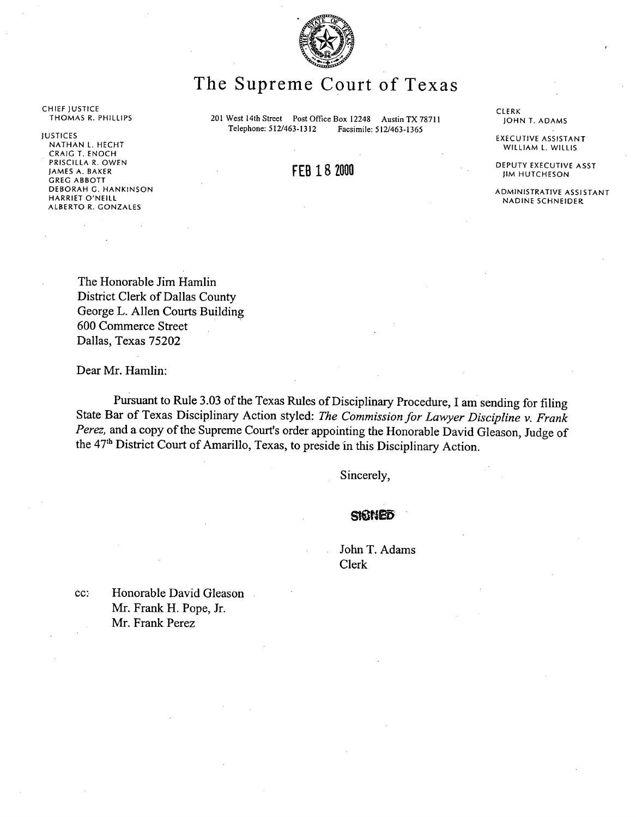

## The Supreme Court of Texas

THOMAS R. PHILLIPS **201 West 14th Street Post** Office **Box 12248 Austin** TX 78711 **Telephone: 512/463-1312 Facsimile: 512/463-1365**

## FEB 18 2000

CLERK JOHN T. ADAMS

EXECUTIVE ASSISTANT WILLIAM L. WILLIS

DEPUTY EXECUTIVE ASST JIM HUTCHESON

ADMINISTRATIVE ASSISTANT NADINE SCHNEIDER

CHIEF JUSTICE

JUSTICES

NATHAN L. HECHT CRAIG T. ENOCH PRISCILLA R. OWEN JAMES A. BAKER GREG ABBOTT DEBORAH G. HANKINSON HARRIET O'NEILL ALBERTO R. GONZALES

> The Honorable Jim Hamlin District Clerk of Dallas County George L. Allen Courts Building 600 Commerce Street Dallas, Texas 75202

Dear Mr. **Hamlin:**

Pursuant to Rule 3.03 of the Texas Rules of Disciplinary Procedure, I am sending for filing State Bar of Texas Disciplinary Action styled: *The Commission for Lawyer Discipline v. Frank Perez,* and a copy of the Supreme Court's order appointing the Honorable David Gleason, Judge of the 47<sup>th</sup> District Court of Amarillo, Texas, to preside in this Disciplinary Action.

Sincerely,

### SIGNED

John T. Adams Clerk

cc: Honorable David Gleason Mr. Frank H. Pope, Jr. Mr. Frank Perez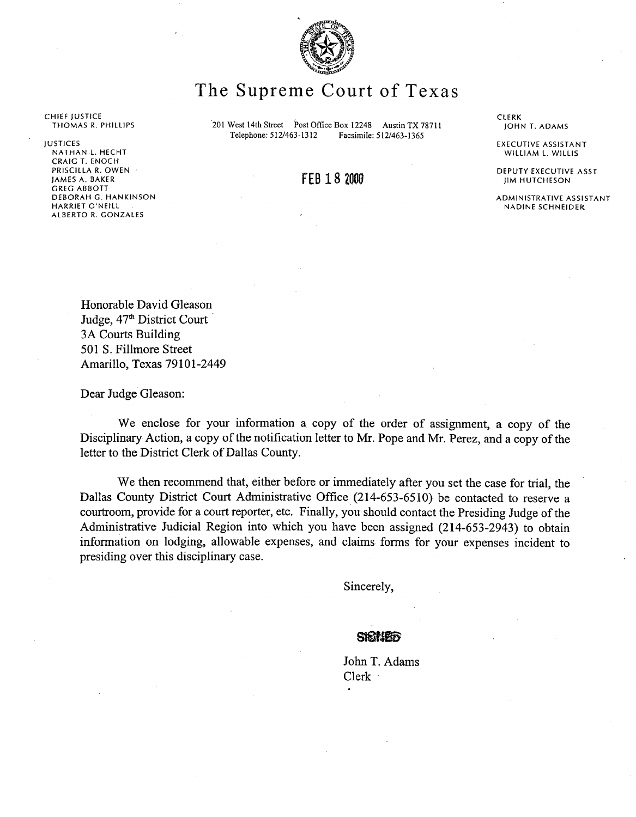

## The Supreme Court of Texas

201 West 14th Street Post Office Box 12248 Austin TX 78711<br>Telephone: 512/463-1312 Facsimile: 512/463-1365 Facsimile: 512/463-1365

FEB 18 2000

**CLERK** JOHN T. ADAMS

EXECUTIVE ASSISTANT WILLIAM L. WILLIS

DEPUTY EXECUTIVE ASST JIM HUTCHESON

ADMINISTRATIVE ASSISTANT **NADINE SCHNEIDER**

CHIEF JUSTICE THOMAS R. PHILLIPS

JUSTICES NATHANL. HECHT CRAIG T. ENOCH PRISCILLA R. OWEN JAMES A. BAKER GREG ABBOTT DEBORAH G. HANKINSON HARRIET O'NEILL ALBERTO R. GONZALES

> **Honorable David Gleason** Judge,  $47<sup>th</sup>$  District Court 3A Courts **Building 501 S. Fillmore Street Amarillo, Texas** 79101-2449

Dear Judge Gleason:

We enclose for your information a copy of the order of assignment, a copy of the Disciplinary Action, a copy of the notification letter to Mr. Pope and Mr. Perez, and a copy of the letter to the District Clerk of Dallas County.

We then recommend that, either before or immediately after you set the case for trial, the Dallas County District Court Administrative Office (214-653-6510) be contacted to reserve a courtroom, provide for a court reporter, etc. Finally, you should contact the Presiding Judge of the Administrative Judicial Region into which you have been assigned (214-653-2943) to obtain information on lodging, allowable expenses, and claims forms for your expenses incident to presiding over this disciplinary case.

Sincerely,

John T. Adams Clerk